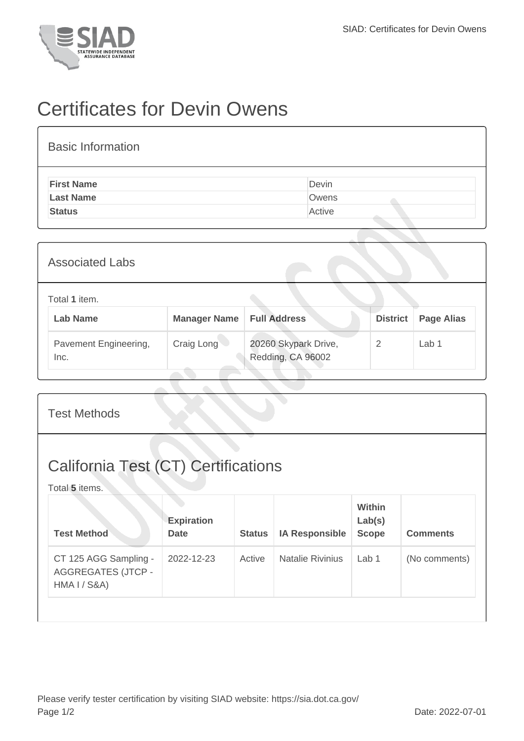

## Certificates for Devin Owens

| <b>Basic Information</b> |        |
|--------------------------|--------|
| <b>First Name</b>        | Devin  |
| <b>Last Name</b>         | Owens  |
| <b>Status</b>            | Active |

| <b>Associated Labs</b>           |                     |                                           |                                      |                  |  |  |  |
|----------------------------------|---------------------|-------------------------------------------|--------------------------------------|------------------|--|--|--|
| Total 1 item.<br><b>Lab Name</b> | <b>Manager Name</b> | <b>Full Address</b>                       | <b>District</b><br><b>Page Alias</b> |                  |  |  |  |
| Pavement Engineering,<br>Inc.    | Craig Long          | 20260 Skypark Drive,<br>Redding, CA 96002 | 2                                    | Lab <sub>1</sub> |  |  |  |

|                                                              | <b>Test Methods</b>                                                |                                  |               |                         |                                  |                 |  |  |
|--------------------------------------------------------------|--------------------------------------------------------------------|----------------------------------|---------------|-------------------------|----------------------------------|-----------------|--|--|
| <b>California Test (CT) Certifications</b><br>Total 5 items. |                                                                    |                                  |               |                         |                                  |                 |  |  |
|                                                              | <b>Test Method</b>                                                 | <b>Expiration</b><br><b>Date</b> | <b>Status</b> | <b>IA Responsible</b>   | Within<br>Lab(s)<br><b>Scope</b> | <b>Comments</b> |  |  |
|                                                              | CT 125 AGG Sampling -<br><b>AGGREGATES (JTCP -</b><br>HMA I / S&A) | 2022-12-23                       | Active        | <b>Natalie Rivinius</b> | Lab <sub>1</sub>                 | (No comments)   |  |  |